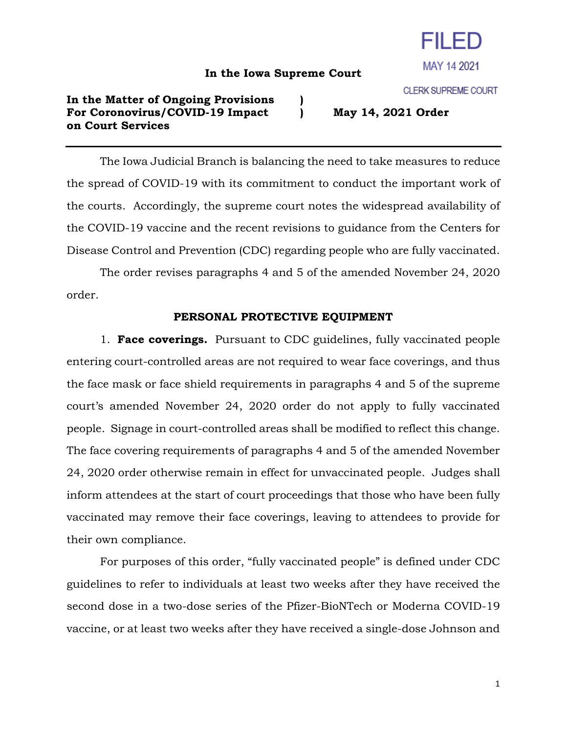## **In the Iowa Supreme Court**

## **In the Matter of Ongoing Provisions ) For Coronovirus/COVID-19 Impact ) May 14, 2021 Order on Court Services**

The Iowa Judicial Branch is balancing the need to take measures to reduce the spread of COVID-19 with its commitment to conduct the important work of the courts. Accordingly, the supreme court notes the widespread availability of the COVID-19 vaccine and the recent revisions to guidance from the Centers for Disease Control and Prevention (CDC) regarding people who are fully vaccinated.

The order revises paragraphs 4 and 5 of the amended November 24, 2020 order.

## **PERSONAL PROTECTIVE EQUIPMENT**

1. **Face coverings.** Pursuant to CDC guidelines, fully vaccinated people entering court-controlled areas are not required to wear face coverings, and thus the face mask or face shield requirements in paragraphs 4 and 5 of the supreme court's amended November 24, 2020 order do not apply to fully vaccinated people. Signage in court-controlled areas shall be modified to reflect this change. The face covering requirements of paragraphs 4 and 5 of the amended November 24, 2020 order otherwise remain in effect for unvaccinated people. Judges shall inform attendees at the start of court proceedings that those who have been fully vaccinated may remove their face coverings, leaving to attendees to provide for their own compliance.

For purposes of this order, "fully vaccinated people" is defined under CDC guidelines to refer to individuals at least two weeks after they have received the second dose in a two-dose series of the Pfizer-BioNTech or Moderna COVID-19 vaccine, or at least two weeks after they have received a single-dose Johnson and

**CLERK SUPREME COURT** 



FII FD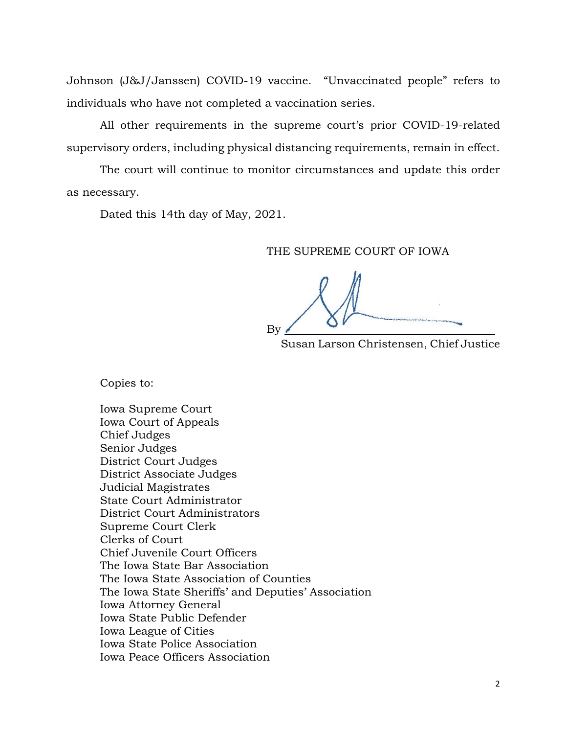Johnson (J&J/Janssen) COVID-19 vaccine. "Unvaccinated people" refers to individuals who have not completed a vaccination series.

All other requirements in the supreme court's prior COVID-19-related supervisory orders, including physical distancing requirements, remain in effect.

The court will continue to monitor circumstances and update this order as necessary.

Dated this 14th day of May, 2021.

## THE SUPREME COURT OF IOWA

 $\mathsf{By} \angle$ 

Susan Larson Christensen, Chief Justice

Copies to:

Iowa Supreme Court Iowa Court of Appeals Chief Judges Senior Judges District Court Judges District Associate Judges Judicial Magistrates State Court Administrator District Court Administrators Supreme Court Clerk Clerks of Court Chief Juvenile Court Officers The Iowa State Bar Association The Iowa State Association of Counties The Iowa State Sheriffs' and Deputies' Association Iowa Attorney General Iowa State Public Defender Iowa League of Cities Iowa State Police Association Iowa Peace Officers Association